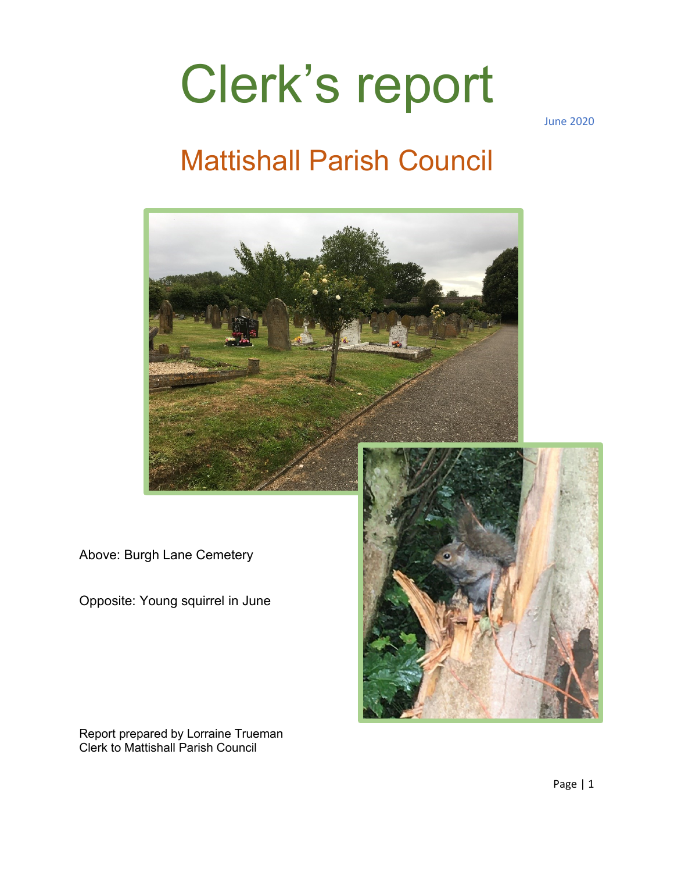# Clerk's report

June 2020

### Mattishall Parish Council



Above: Burgh Lane Cemetery

Opposite: Young squirrel in June



Report prepared by Lorraine Trueman Clerk to Mattishall Parish Council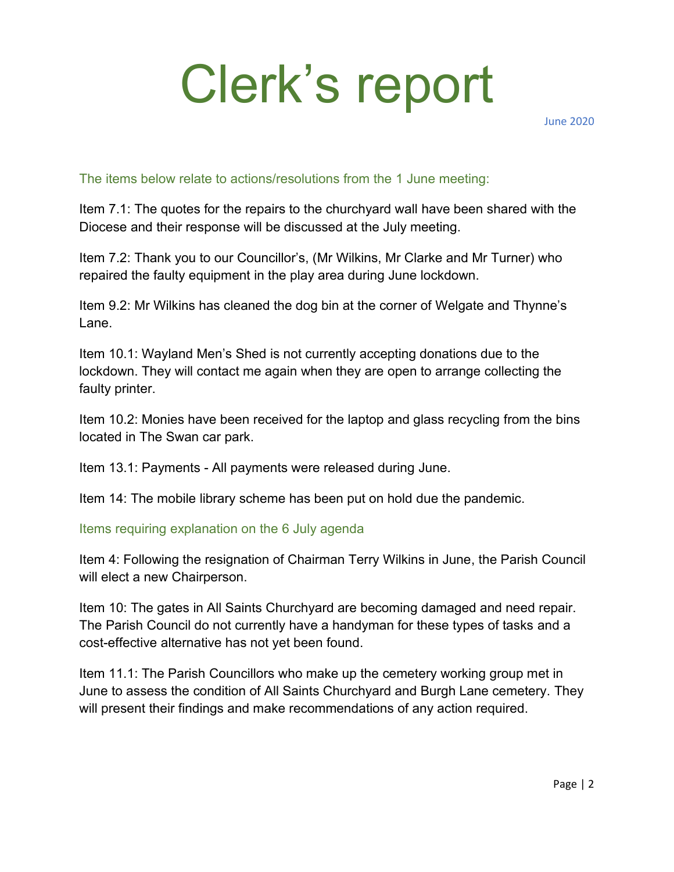# Clerk's report

June 2020

#### The items below relate to actions/resolutions from the 1 June meeting:

Item 7.1: The quotes for the repairs to the churchyard wall have been shared with the Diocese and their response will be discussed at the July meeting.

Item 7.2: Thank you to our Councillor's, (Mr Wilkins, Mr Clarke and Mr Turner) who repaired the faulty equipment in the play area during June lockdown.

Item 9.2: Mr Wilkins has cleaned the dog bin at the corner of Welgate and Thynne's Lane.

Item 10.1: Wayland Men's Shed is not currently accepting donations due to the lockdown. They will contact me again when they are open to arrange collecting the faulty printer.

Item 10.2: Monies have been received for the laptop and glass recycling from the bins located in The Swan car park.

Item 13.1: Payments - All payments were released during June.

Item 14: The mobile library scheme has been put on hold due the pandemic.

Items requiring explanation on the 6 July agenda

Item 4: Following the resignation of Chairman Terry Wilkins in June, the Parish Council will elect a new Chairperson.

Item 10: The gates in All Saints Churchyard are becoming damaged and need repair. The Parish Council do not currently have a handyman for these types of tasks and a cost-effective alternative has not yet been found.

Item 11.1: The Parish Councillors who make up the cemetery working group met in June to assess the condition of All Saints Churchyard and Burgh Lane cemetery. They will present their findings and make recommendations of any action required.